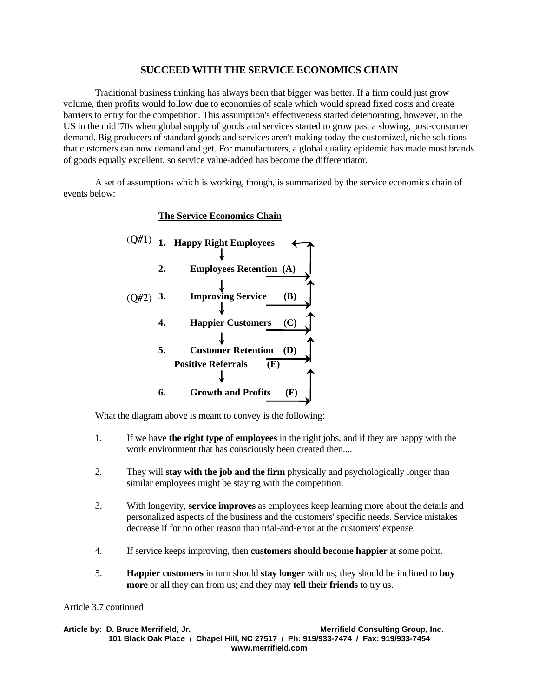## **SUCCEED WITH THE SERVICE ECONOMICS CHAIN**

 Traditional business thinking has always been that bigger was better. If a firm could just grow volume, then profits would follow due to economies of scale which would spread fixed costs and create barriers to entry for the competition. This assumption's effectiveness started deteriorating, however, in the US in the mid '70s when global supply of goods and services started to grow past a slowing, post-consumer demand. Big producers of standard goods and services aren't making today the customized, niche solutions that customers can now demand and get. For manufacturers, a global quality epidemic has made most brands of goods equally excellent, so service value-added has become the differentiator.

 A set of assumptions which is working, though, is summarized by the service economics chain of events below:

## **The Service Economics Chain**



What the diagram above is meant to convey is the following:

- 1. If we have **the right type of employees** in the right jobs, and if they are happy with the work environment that has consciously been created then....
- 2. They will **stay with the job and the firm** physically and psychologically longer than similar employees might be staying with the competition.
- 3. With longevity, **service improves** as employees keep learning more about the details and personalized aspects of the business and the customers' specific needs. Service mistakes decrease if for no other reason than trial-and-error at the customers' expense.
- 4. If service keeps improving, then **customers should become happier** at some point.
- 5. **Happier customers** in turn should **stay longer** with us; they should be inclined to **buy more** or all they can from us; and they may **tell their friends** to try us.

## Article 3.7 continued

Article by: D. Bruce Merrifield, Jr. **Merrifield Consulting Group, Inc. Merrifield Consulting Group**, Inc. **101 Black Oak Place / Chapel Hill, NC 27517 / Ph: 919/933-7474 / Fax: 919/933-7454 www.merrifield.com**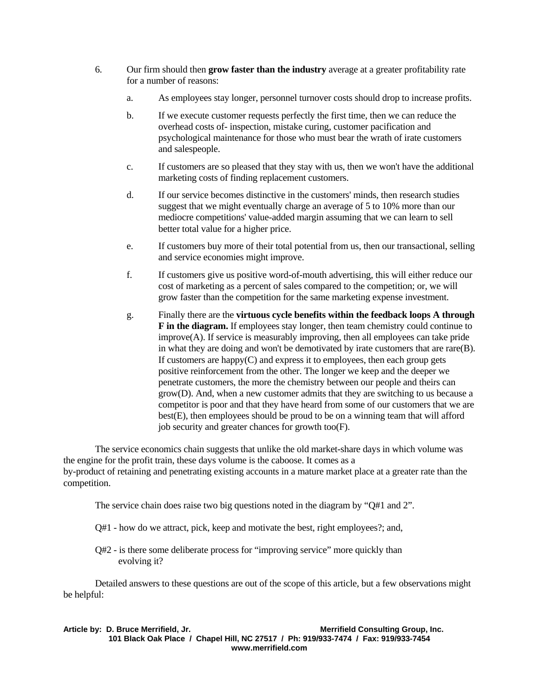- 6. Our firm should then **grow faster than the industry** average at a greater profitability rate for a number of reasons:
	- a. As employees stay longer, personnel turnover costs should drop to increase profits.
	- b. If we execute customer requests perfectly the first time, then we can reduce the overhead costs of- inspection, mistake curing, customer pacification and psychological maintenance for those who must bear the wrath of irate customers and salespeople.
	- c. If customers are so pleased that they stay with us, then we won't have the additional marketing costs of finding replacement customers.
	- d. If our service becomes distinctive in the customers' minds, then research studies suggest that we might eventually charge an average of 5 to 10% more than our mediocre competitions' value-added margin assuming that we can learn to sell better total value for a higher price.
	- e. If customers buy more of their total potential from us, then our transactional, selling and service economies might improve.
	- f. If customers give us positive word-of-mouth advertising, this will either reduce our cost of marketing as a percent of sales compared to the competition; or, we will grow faster than the competition for the same marketing expense investment.
	- g. Finally there are the **virtuous cycle benefits within the feedback loops A through F in the diagram.** If employees stay longer, then team chemistry could continue to  $improve(A)$ . If service is measurably improving, then all employees can take pride in what they are doing and won't be demotivated by irate customers that are rare(B). If customers are happy $(C)$  and express it to employees, then each group gets positive reinforcement from the other. The longer we keep and the deeper we penetrate customers, the more the chemistry between our people and theirs can grow(D). And, when a new customer admits that they are switching to us because a competitor is poor and that they have heard from some of our customers that we are best(E), then employees should be proud to be on a winning team that will afford job security and greater chances for growth too(F).

 The service economics chain suggests that unlike the old market-share days in which volume was the engine for the profit train, these days volume is the caboose. It comes as a by-product of retaining and penetrating existing accounts in a mature market place at a greater rate than the competition.

The service chain does raise two big questions noted in the diagram by "Q#1 and 2".

- Q#1 how do we attract, pick, keep and motivate the best, right employees?; and,
- Q#2 is there some deliberate process for "improving service" more quickly than evolving it?

 Detailed answers to these questions are out of the scope of this article, but a few observations might be helpful:

**Article by: D. Bruce Merrifield, Jr. Merrifield Consulting Group, Inc. 101 Black Oak Place / Chapel Hill, NC 27517 / Ph: 919/933-7474 / Fax: 919/933-7454 www.merrifield.com**